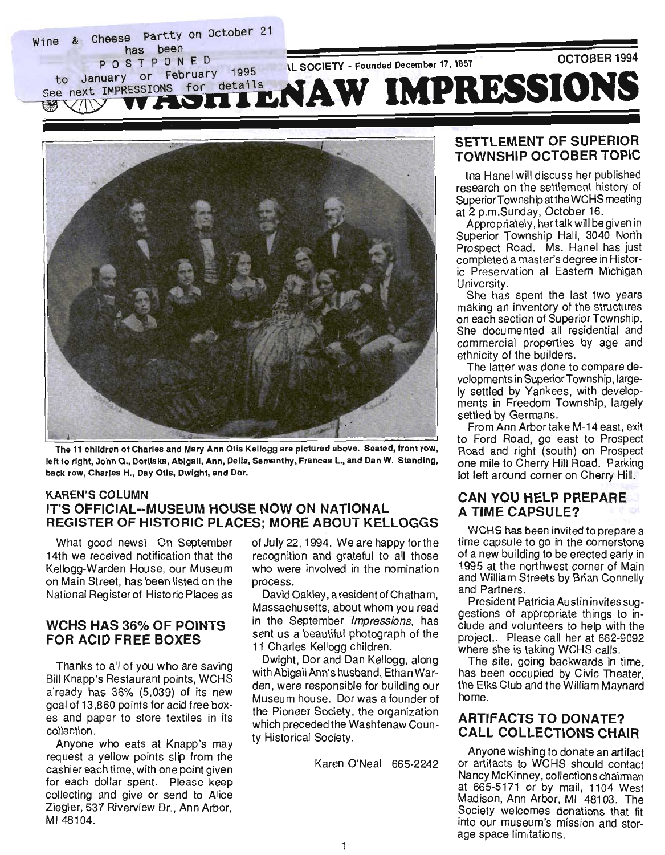



The 11 children of Charles and Mary Ann Otis Kellogg are pictured above. Seated, front row, left to right, John Q., Dorliska, Abigail, Ann, Delia, Semanthy, Frances L., and Dan W. Standing, back row, Charles H., Day Otis, Dwight, and Dor.

# **KAREN'S COLUMN** IT'S OFFICIAL--MUSEUM HOUSE NOW ON NATIONAL  $GISIER OF HISIORIC PLACES; MORE ABOUT KELLOGGS$

What good news! On September 14th we received notification that the Kellogg-Warden House, our Museum on Main Street, has been listed on the National Register of Historic Places as

## WCHS HAS 36% OF POINTS **FOR ACID FREE BOXES**

Thanks to all of you who are saving Bill Knapp's Restaurant points, WCHS already has  $36\%$   $(5,039)$  of its new goal of 13,860 points for acid free boxcallor rojot any paper to error tentale white collection.<br>Anyone who eats at Knapp's may

request a yellow points slip from the cashier each time, with one point given. for each dollar spent. Please keep collecting and give or send to Alice Ziegler, 537 Riverview Dr., Ann Arbor, MI 48104.

of July 22, 1994. We are happy for the recognition and grateful to all those who were involved in the nomination process.

David Oakley, a resident of Chatham, Massachusetts, about whom you read in the September Impressions, has sent us a beautiful photograph of the 11 Charles Kellogg children.

Dwight, Dor and Dan Kellogg, along with Abigail Ann's husband, Ethan Warden, were responsible for building our Museum house. Dor was a founder of the Pioneer Society, the organization which preceded the Washtenaw County Historical Society.

Karen O'Neal 665-2242

#### SETTLEMENT OF SUPERIORS TTLEMENT OF SUPERIOR **TOWNSHIP OCTOBER TOPIC**

Ina Hanel will discuss her published research on the settlement history of Superior Township at the WCHS meeting at 2 p.m.Sunday, October 16.

Appropriately, her talk will be given in Superior Township Hall, 3040 North Prospect Road. Ms. Hanel has just completed a master's degree in Historic Preservation at Eastern Michigan University.

She has spent the last two years making an inventory of the structures on each section of Superior Township. She documented all residential and commercial properties by age and ethnicity of the builders.

The latter was done to compare developments in Superior Township, large-Iv settled by Yankees, with developments in Freedom Township, largely settled by Germans.

From Ann Arbor take M-14 east, exit to Ford Road, go east to Prospect Road and right (south) on Prospect one mile to Cherry Hill Road. Parking<br>lot left around corner on Cherry Hill.

## CAN YOU HELP PREPARED PREPARED TO A REPORT OF THE PARED PARED PARED PREPARED TO A REPORT OF THE PARED PARED PR AN YOU HELP PREF **A TIME CAPSULE?**

WCHS has been invited to prepare a time capsule to go in the cornerstone of a new building to be erected early in 1995 at the northwest corner of Main and William Streets by Brian Connelly and Partners.

President Patricia Austin invites suggestions of appropriate things to include and volunteers to help with the project.. Please call her at 662-9092 where she is taking WCHS calls.

The site, going backwards in time, has been occupied by Civic Theater, the Elks Club and the William Maynard home.

# $\frac{1}{2}$ RTIFACTS TO DONATE?  $A = 0$

Anyone wishing to donate an artifact or artifacts to WCHS should contact Nancy McKinney, collections chairman at 665-5171 or by mail, 1104 West Madison, Ann Arbor, MI 48103. The Society welcomes donations that fit into our museum's mission and storage space limitations.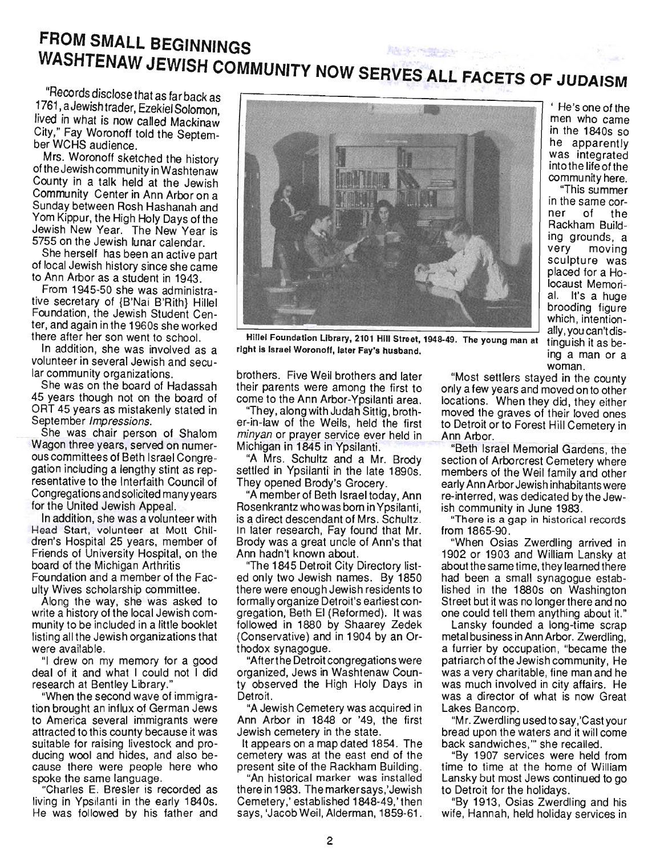# **FROM SMALL BEGINNINGS**  WASHTENAW JEWISH COMMUNITY NOW SERVES ALL FACETS OF ALL FACETS OF  $\sim$

 $R$ ecords disclose that  $\frac{1}{2}$ "Records disclose that as far back as 1761, a Jewish trader, Ezekiel Solomon, lived in what is now called Mackinaw City," Fay Woronoff told the Septem-<br>ber WCHS audience. Mrs. Woronoff sketched the history

wis. Woronoff sketched the history of the Jewish community in Washtenaw County in a talk held at the Jewish Community Center in Ann Arbor on a Sunday between Rosh Hashanah and Yom Kippur, the High Holy Days of the Jewish New Year. The New Year is 5755 on the Jewish lunar calendar.

She herself has been an active part of local Jewish history since she came to Ann Arbor as a student in 1943.

From 1945-50 she was administrative secretary of {B'Nai B'Rith} Hillel Foundation, the Jewish Student Center, and again in the 1960s she worked there after her son went to school.

In addition, she was involved as a volunteer in several Jewish and secular community organizations.

She was on the board of Hadassah 45 years though not on the board of ORT 45 years as mistakenly stated in September Impressions.

She was chair person of Shalom Wagon three years, served on numerous committees of Beth Israel Congregation including a lengthy stint as representative to the Interfaith Council of Congregations and solicited many years. for the United Jewish Appeal.

In addition, she was a volunteer with Head Start, volunteer at Mott Children's Hospital 25 years, member of Friends of University Hospital, on the board of the Michigan Arthritis Foundation and a member of the Faculty Wives scholarship committee.

Along the way, she was asked to write a history of the local Jewish community to be included in a little booklet listing all the Jewish organizations that were available.

"I drew on my memory for a good deal of it and what I could not I did research at Bentley Library."

"When the second wave of immigration brought an influx of German Jews to America several immigrants were attracted to this county because it was suitable for raising livestock and producing wool and hides, and also because there were people here who spoke the same language.

"Charles E. Bresler is recorded as living in Ypsilanti in the early 1840s.<br>He was followed by his father and



, He's one of the of the of the set dersione of the men who came in the 1840s so he apparently was integrated into the life of the community here.

"This summer in the same cor-<br>ner of the r or the acknam Building grounds, a<br>very moving moving sculpture was placed for a Holocaust Memorial. It's a huge brooding figure which, intentionally, you can't distinguish it as being a man or a<br>woman.  $\blacksquare$  woman.

riller Foundation Library, 2101 Hill Street, 194

brothers. Five Weil brothers and later  $\frac{1}{2}$  parameter weil brothers and later their parents were among the first to come to the Ann Arbor-Ypsilanti area.

"They, along with Judah Sittig, brother-in-law of the Weils, held the first minyan or prayer service ever held in Michigan in 1845 in Ypsilanti.

"A Mrs. Schultz and a Mr. Brody. settled in Ypsilanti in the late 1890s. They opened Brody's Grocery.

"A member of Beth Israel today, Ann Rosenkrantz who was born in Ypsilanti. is a direct descendant of Mrs. Schultz. In later research, Fay found that Mr. Brody was a great uncle of Ann's that Ann hadn't known about.

"The 1845 Detroit City Directory listed only two Jewish names. By 1850 there were enough Jewish residents to formally organize Detroit's earliest congregation, Beth El (Reformed). It was followed in 1880 by Shaarey Zedek (Conservative) and in 1904 by an Orthodox synagogue.

"After the Detroit congregations were organized, Jews in Washtenaw County observed the High Holy Days in<br>Detroit. on.<br>"A Jewish Cemetery was accurated in the contract of the contract of the contract of the contract of the contra

A Jewish Cemetery was acquired in Ann Arbor in 1848 or '49, the first Jewish cemetery in the state.

It appears on a map dated 1854. The cemetery was at the east end of the present site of the Rackham Building.

"An historical marker was installed there in 1983. The marker says,' Jewish Cemetery,' established 1848-49,' then<br>says, 'Jacob Weil, Alderman, 1859-61.

most settlers stayed in the county only a few years and moved on to other locations. When they did, they either moved the graves of their loved ones to Detroit or to Forest Hill Cemetery in<br>Ann Arbor. - Ann Arbor.<br>"Beth Israel Memorial Gardens, the-

"Beth Israel Memorial Gardens, the section of Arborcrest Cemetery where members of the Weil family and other early Ann Arbor Jewish inhabitants were re-interred, was dedicated by the Jewish community in June 1983.

"There is a gap in historical records<br>from 1865-90. "When Osias" (1865-90", "The Contract in the Contract of The Contract in the Contract of The Contract in the Co<br>"The Contract of The Contract in the Contract of The Contract of The Contract of The Contract of The Contract

"When Usias Zwerdling arrived in 1902 or 1903 and William Lansky at about the same time, they learned there had been a small synagogue established in the 1880s on Washington Street but it was no longer there and no one could tell them anything about it."

Lansky founded a long-time scrap metal business in Ann Arbor. Zwerdling, a furrier by occupation, "became the patriarch of the Jewish community, He was a very charitable, fine man and he was much involved in city affairs. He was a director of what is now Great Lakes Bancorp.

"Mr. Zwerdling used to say, 'Cast your bread upon the waters and it will come back sandwiches," she recalled.

"By 1907 services were held from time to time at the home of William Lansky but most Jews continued to go. to Detroit for the holidays.

wife, Hannah, held holiday services in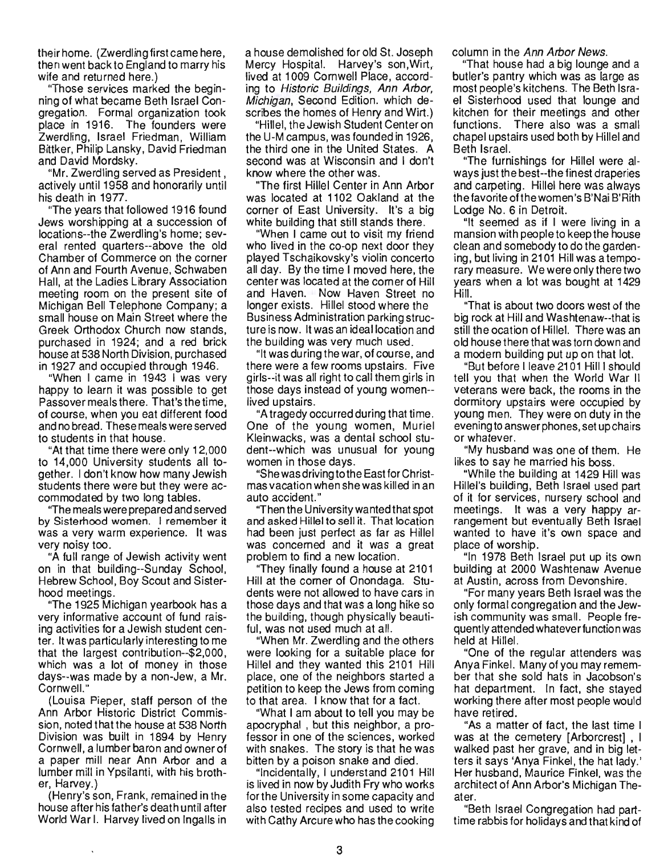their home. (Zwerdling first came here, then went back to England to marry his wife and returned here.)

"Those services marked the beginning of what became Beth Israel Congregation. Formal organization took place in 1916. The founders were Zwerdling, Israel Friedman, William Bittker, Philip Lansky, David Friedman and David Mordsky.

"Mr. Zwerdling served as President , actively until 1958 and honorarily until his death in 1977.

"The years that followed 1916 found Jews worshipping at a succession of locations--the Zwerdling's home; several rented quarters--above the old Chamber of Commerce on the corner of Ann and Fourth Avenue, Schwaben Hall, at the Ladies Library Association meeting room on the present site of Michigan Bell Telephone Company; a small house on Main Street where the Greek Orthodox Church now stands, purchased in 1924; and a red brick house at 538 North Division, purchased in 1927 and occupied through 1946.

"When I came in 1943 I was very happy to learn it was possible to get Passover meals there. That'sthetime, of course, when you eat different food and no bread. These meals were served to students in that house.

"At that time there were only 12,000 to 14,000 University students all together. I don't know how many Jewish students there were but they were accommodated by two long tables.

"The meals were prepared and served by Sisterhood women. I remember it was a very warm experience. It was very noisy too.

"A full range of Jewish activity went on in that building--Sunday School, Hebrew School, Boy Scout and Sisterhood meetings.

"The 1925 Michigan yearbook has a very informative account of fund raising activities for a Jewish student center. It was particularly interesting to me that the largest contribution--\$2,OOO, which was a lot of money in those days--was made by a non-Jew, a Mr. Cornwell."

(Louisa Pieper, staff person of the Ann Arbor Historic District Commission, noted that the house at 538 North Division was built in 1894 by Henry Cornwell, a lumber baron and owner of a paper mill near Ann Arbor and a lumber mill in Ypsilanti, with his brother, Harvey.)

(Henry's son, Frank, remained in the house after his father's death until after World War I. Harvey lived on Ingalls in a house demolished for old St. Joseph Mercy Hospital. Harvey's son,Wirt, lived at 1009 Cornwell Place, according to Historic Buildings, Ann Arbor, Michigan, Second Edition. which describes the homes of Henry and Wirt.)

"Hillel, the Jewish Student Center on the U-M campus, was founded in 1926, the third one in the United States. A second was at Wisconsin and I don't know where the other was.

"The first Hillel Center in Ann Arbor was located at 1102 Oakland at the corner of East University. It's a big white building that still stands there.

"When I came out to visit my friend who lived in the co-op next door they played Tschaikovsky's violin concerto all day. By the time I moved here, the center was located at the corner of Hill and Haven. Now Haven Street no longer exists. Hillel stood where the Business Administration parking structure is now. It was an ideal location and the building was very much used.

"It was during the war, of course, and there were a few rooms upstairs. Five girls--it was all right to call them girls in those days instead of young women- lived upstairs.

"A tragedy occurred during that time. One of the young women, Muriel Kleinwacks, was a dental school student--which was unusual for young women in those days.

"She was driving to the East for Christmas vacation when she was killed in an auto accident."

"Then the University wanted that spot and asked Hillel to sell it. That location had been just perfect as far as Hillel was concerned and it was a great problem to find a new location.

"They finally found a house at 2101 Hill at the corner of Onondaga. Students were not allowed to have cars in those days and that was a long hike so the building, though physically beautiful, was not used much at all.

"When Mr. Zwerdling and the others were looking for a suitable place for Hillel and they wanted this 2101 Hill place, one of the neighbors started a petition to keep the Jews from coming to that area. I know that for a fact.

"What I am about to tell you may be apocryphal , but this neighbor, a professor in one of the sciences, worked with snakes. The story is that he was bitten by a poison snake and died.

"Incidentally, I understand 2101 Hill is lived in now by Judith Fry who works forthe University in some capacity and also tested recipes and used to write with Cathy Arcurewho has the cooking

column in the Ann Arbor News.

"That house had a big lounge and a butler's pantry which was as large as most people's kitchens. The Beth Israel Sisterhood used that lounge and kitchen for their meetings and other functions. There also was a small chapel upstairs used both by Hillel and Beth Israel.

"The furnishings for Hillel were always just the best--the finest draperies and carpeting. Hillel here was always the favorite of the women's B' Nai B'Rith Lodge No. 6 in Detroit.

"It seemed as if I were living in a mansion with people to keep the house clean and somebody to do the gardening, but living in 2101 Hill was a temporary measure. We were only there two years when a lot was bought at 1429 Hill.

"That is about two doors west of the big rock at Hill and Washtenaw--that is still the ocation of Hillel. There was an old house there that was torn down and a modern building put up on that lot.

"But before I leave 2101 Hill I should tell you that when the World War II veterans were back, the rooms in the dormitory upstairs were occupied by young men. They were on duty in the evening to answer phones, set up chairs or whatever.

"My husband was one of them. He likes to say he married his boss.

"While the building at 1429 Hill was Hillel's building, Beth Israel used part of it for services, nursery school and meetings. It was a very happy arrangement but eventually Beth Israel wanted to have it's own space and place of worship.

"In 1978 Beth Israel put up its own building at 2000 Washtenaw Avenue at Austin, across from Devonshire.

"For many years Beth Israel was the · only formal congregation and the Jewish community was small. People frequently attended whateverfu nction was held at Hillel.

"One of the regular attenders was Anya Finkel. Many of you may remember that she sold hats in Jacobson's hat department. In fact, she stayed working there after most people would have retired.

"As a matter of fact, the last time I was at the cemetery [Arborcrest] , I walked past her grave, and in big letters it says 'Anya Finkel, the hat lady.' Her husband, Maurice Finkel, was the architect of Ann Arbor's Michigan Theater.

"Beth Israel Congregation had parttime rabbis for holidays and that kind of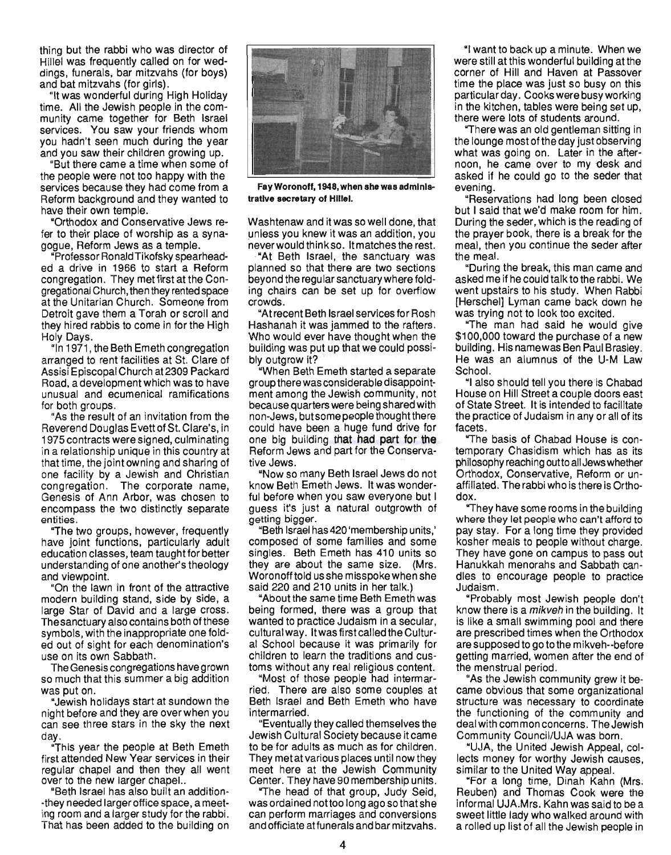thing but the rabbi who was director of Hillel was frequently called on for weddings, funerals, bar mitzvahs (for boys) and bat mitzvahs (for girls).

"It was wonderful during High Holiday time. All the Jewish people in the community came together for Beth Israel services. You saw your friends whom you hadn't seen much during the year and you saw their children growing up.

"But there came a time when some of the people were not too happy with the services because they had come from a Reform background and they wanted to have their own temple.

"Orthodox and Conservative Jews refer to their place of worship as a synagogue, Reform Jews as a temple.

"Professor RonaldTikofsky spearheaded a drive in 1966 to start a Reform congregation. They met first at the Congregational Church, then they rented space at the Unitarian Church. Someone from Detroit gave them a Torah or scroll and they hired rabbis to come in for the High Holy Days.

"In 1971 , the Beth Emeth congregation arranged to rent facilities at St. Clare of Assisi Episcopal Church at 2309 Packard Road, a development which was to have unusual and ecumenical ramifications for both groups.

"As the result of an invitation from the Reverend Douglas Evett of St. Clare's, in 1975 contracts were signed, culminating in a relationship unique in this country at that time, the joint owning and sharing of one facility by a Jewish and Christian congregation. The corporate name, Genesis of Ann Arbor, was chosen to encompass the two distinctly separate entities.

"The two groups, however, frequently have joint functions, particularly adult education classes, team taught for better understanding of one another's theology and viewpoint.

"On the lawn in front of the attractive modern building stand, side by side, a large Star of David and a large cross. Thesanctuary also contains both ofthese symbols, with the inappropriate one folded out of sight for each denomination's use on its own Sabbath.

The Genesis congregations have grown so much that this summer a big addition was put on.

"Jewish holidays start at sundown the night before and they are over when you can see three stars in the sky the next day.

"This year the people at Beth Emeth first attended New Year services in their regular chapel and then they all went over to the new larger chapel...

"Beth Israel has also built an addition- -they needed larger office space, a meeting room and a larger study for the rabbi. That has been added to the building on



Fay Woronoff, 1948, when she was administrative secretary of Hillel.

Washtenaw and it was so well done, that unless you knew it was an addition, you never would think so. It matches the rest.

·"At Beth Israel, the sanctuary was planned so that there are two sections beyond the regular sanctuary where folding chairs can be set up for overflow crowds.

"At recent Beth Israel services for Rosh Hashanah it was jammed to the rafters. Who would ever have thought when the building was put up that we could possibly outgrow it?

"When Beth Emeth started a separate group there was considerable disappointment among the Jewish community, not because quarters were being shared with non-Jews, but some people thought there could have been a huge fund drive for one big building that had part for the Reform Jews and part for the Conservative Jews.

"Now so many Beth Israel Jews do not know Beth Emeth Jews. It was wonderful before when you saw everyone but I guess it's just a natural outgrowth of getting bigger.

"Beth Israel has 420 'membership units,' composed of some families and some singles. Beth Emeth has 410 units so they are about the same size. (Mrs. Woronofftold usshe misspokewhen she said 220 and 210 units in her talk.)

"About the same time Beth Emeth was being formed, there was a group that wanted to practice Judaism in a secular, cultural way. It was first called the Cultural School because it was primarily for children to learn the traditions and customs without any real religious content.

"Most of those people had intermarried. There are also some couples at Beth Israel and Beth Emeth who have intermarried.

"Eventually they called themselves the Jewish Cultural Society because itcame to be for adults as much as for children. They met at various places until now they meet here at the Jewish Community Center. They have 90 membership units.

"The head of that group, Judy Seid, was ordained nottoo long ago so that she can perform marriages and conversions and officiate atfunerals and bar mitzvahs.

"I want to back up a minute. When we . were still at this wonderful building at the corner of Hill and Haven at Passover time the place was just so busy on this particular day. Cooks were busy working in the kitchen, tables were being set up, there were lots of students around.

"There was an old gentleman sitting in the lounge most of the day just observing what was going on. Later in the afternoon, he came over to my desk and asked if he could go to the seder that evening.

"Reservations had long been closed but I said that we'd make room for him. During the seder, which is the reading of the prayer book, there is a break for the meal, then you continue the seder after the meal.

"During the break, this man came and asked me if he could talk to the rabbi. We went upstairs to his study. When Rabbi [Herschel] Lyman came back down he was trying not to look too excited.

"The man had said he would give \$100,000 toward the purchase of a new building. His namewas Ben Paul Brasley. He was an alumnus of the U-M Law School.

"I also should tell you there is Chabad House on Hill Street a couple doors east of State Street. It is intended to facilitate the practice of Judaism in any or all of its facets.

"The basis of Chabad House is contemporary Chasidism which has as its philosophy reaching out to all Jews whether Orthodox, Conservative, Reform or unaffiliated. The rabbi who is there is Orthodox.

"They have some rooms in the building where they let people who can't afford to pay stay. For a long time they provided kosher meals to people without charge. They have gone on campus to pass out Hanukkah menorahs and Sabbath candies to encourage people to practice Judaism.

"Probably most Jewish people don't know there is a mikveh in the building. It is like a small swimming pool and there are prescribed times when the Orthodox are supposed to go to the mikveh--before getting married, women after the end of the menstrual period.

"As the Jewish community grew it became obvious that some organizational structure was necessary to coordinate the functioning of the community and deal with common concerns. The Jewish Community Council/UJA was born.

"UJA, the United Jewish Appeal, collects money for worthy Jewish causes, similar to the United Way appeal.

"For a long time, Dinah Kahn (Mrs. Reuben) and Thomas Cook were the informal UJA.Mrs. Kahn was said to be a sweet little lady who walked around with a rolled up list of all the Jewish people in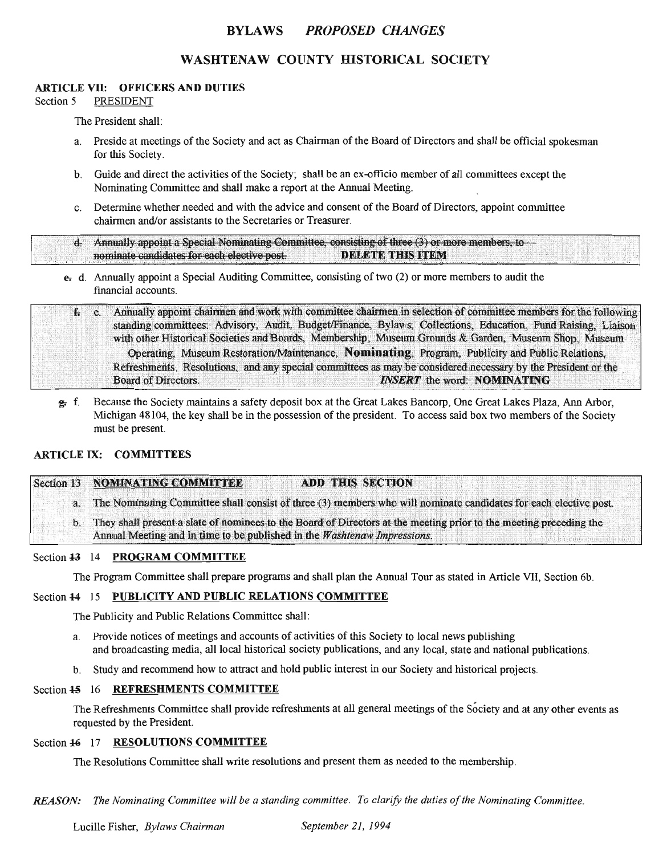## BYLAWS *PROPOSED CHANGES*

# WASHTENAW COUNTY HISTORICAL SOCIETY

#### ARTICLE VII: OFFICERS AND DUTIES

Section 5 PRESIDENT

The President shall:

- a. Preside at meetings of the Society and act as Chairman of the Board of Directors and shall be official spokesman for this Society.
- b. Guide and direct the activities of the Society; shall be an ex-officio member of all committees except the Nominating Committee and shall make a report at the Annual Meeting.
- c. Determine whether needed and with the advice and consent of the Board of Directors, appoint committee chairmen and/or assistants to the Secretaries or Treasurer.

d. Annually appoint a Special Nominating Committee, consisting of three (3) or more members, to nominate candidates for each elective post. **DELETE THIS ITEM** 

 $e_1$ . Annually appoint a Special Auditing Committee, consisting of two (2) or more members to audit the financial accounts.

e. Annually appoint chairmen and work with committee chairmen in selection of committee members for the following  $f_{\rm{t}}$ standing committees: Advisory, Audit, Budget/Finance, Bylaws, Collections, Education, Fund Raising, Liaison with other Historical Societies and Boards, Membership, Museum Grounds & Garden, Museum Shop, Museum Operating, Museum Restoration/Maintenance, Nominating, Program, Publicity and Public Relations, Refreshments. Resolutions, and any special committees as may be considered necessary by the President or the **Board of Directors. INSERT** the word: **NOMINATING** 

g. f. Because the Society maintains a safety deposit box at the Great Lakes Bancorp, One Great Lakes Plaza, Ann Arbor, Michigan 48104, the key shall be in the possession of the president. To access said box two members of the Society must be present.

### ARTICLE IX: COMMITTEES

|                | Section 13 NOMINATING COMMITTEE<br><b>ADD THIS SECTION</b>                                                          |
|----------------|---------------------------------------------------------------------------------------------------------------------|
| $\mathbf{b}$ . | a. The Nominating Committee shall consist of three (3) members who will nominate candidates for each elective post. |
|                | They shall present a slate of nominees to the Board of Directors at the meeting prior to the meeting preceding the  |
|                | Annual Meeting and in time to be published in the Washtenaw Impressions.                                            |

#### Section 43 14 PROGRAM COMMITTEE

The Program Committee shall prepare programs and shall plan the Annual Tour as stated in Article VII, Section 6b.

#### Section 14 15 PUBLICITY AND PUBLIC RELATIONS COMMITTEE

The Publicity and Public Relations Committee shall:

- a. Provide notices of meetings and accounts of activities of this Society to local news publishing and broadcasting media, all local historical society publications, and any local, state and national publications.
- b. Study and recommend how to attract and hold public interest in our Society and historical projects.

#### Section 45 16 REFRESHMENTS COMMITTEE

The Refreshments Committee shall provide refreshments at all general meetings of the Society and at any other events as requested by the President.

## Section 46 17 RESOLUTIONS COMMITTEE

The Resolutions Committee shall write resolutions and present them as needed to the membership.

**REASON:** The Nominating Committee will be a standing committee. To clarify the duties of the Nominating Committee.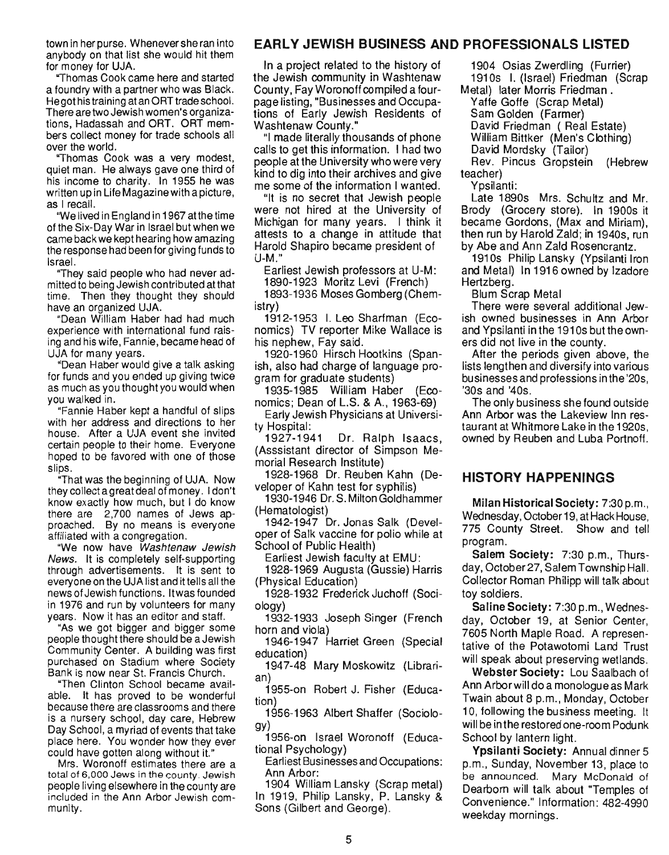town in her purse. Whenever she ran into anybody on that list she would hit them for money for UJA.

"Thomas Cook came here and started a foundry with a partner who was Black. Hegot his training at an ORT trade school. There are two Jewish women's organizations, Hadassah and ORT. ORT members collect money for trade schools all over the world.

"Thomas Cook was a very modest, quiet man. He always gave one third of his income to charity. In 1955 he was written up in Life Magazine with a picture, as I recall.

"We lived in England in 1967 atthe time of the Six-Day War in Israel but when we came back we kept hearing how amazing the response had been for giving funds to Israel.

"They said people who had never admitted to being Jewish contributed atthat time. Then they thought they should have an organized UJA.

"Dean William Haber had had much experience with international fund raising and his wife, Fannie, became head of UJA for many years.

"Dean Haber would give a talk asking for funds and you ended up giving twice as much as you thought you would when you walked in.

"Fannie Haber kept a handful of slips with her address and directions to her house. After a UJA event she invited certain people to their home. Everyone hoped to be favored with one of those slips.

"That was the beginning of UJA. Now they collect agreatdeal of money. I don't know exactly how much, but I do know there are 2,700 names of Jews approached. By no means is everyone affiliated with a congregation.

"We now have Washtenaw Jewish News. It is completely self-supporting through advertisements. It is sent to everyone on the UJA list and it tells all the news of Jewish functions . It was founded in 1976 and run by volunteers for many years. Now it has an editor and staff.

"As we got bigger and bigger some people thought there should be a Jewish Community Center. A building was first purchased on Stadium where Society Bank is now near St. Francis Church.

"Then Clinton School became available. It has proved to be wonderful because there are classrooms and there is a nursery school, day care, Hebrew Day School, a myriad of events that take place here. You wonder how they ever could have gotten along without it."

Mrs. Woronoff estimates there are a total of 6,000 Jews in the county. Jewish people living elsewhere in the county are included in the Ann Arbor Jewish community.

## **EARLY JEWISH BUSINESS AND PROFESSIONALS LISTED**

In a project related to the history of the Jewish community in Washtenaw County, FayWoronoffcompiled a fourpage listing, "Businesses and Occupations of Early Jewish Residents of Washtenaw County."

"I made literally thousands of phone calls to get this information. I had two people at the University who were very kind to dig into their archives and give me some of the information I wanted.

"It is no secret that Jewish people were not hired at the University of Michigan for many years. I think it attests to a change in attitude that Harold Shapiro became president of U-M."

Earliest Jewish professors at U-M:

1890-1923 Moritz Levi (French)

1893-1936 Moses Gomberg (Chemistry)

1912-1953 I. Leo Sharfman (Economics) TV reporter Mike Wallace is his nephew, Fay said.

1920-1960 Hirsch Hootkins (Spanish, also had charge of language program for graduate students)

1935-1985 William Haber (Economics; Dean of L.S. & A., 1963-69)

Early Jewish Physicians at University Hospital:

1927-1941 Dr. Ralph Isaacs, (Asssistant director of Simpson Memorial Research Institute)

1928-1968 Dr. Reuben Kahn (Developer of Kahn test for syphilis)

1930-1946 Dr. S. Milton Goldhammer (Hematologist)

1942-1947 Dr. Jonas Salk (Developer of Salk vaccine for polio while at School of Public Health)

Earliest Jewish faculty at EMU:

1928-1969 Augusta (Gussie) Harris (Physical Education)

1928-1932 Frederick Juchoff (Sociology)

. 1932-1933 Joseph Singer (French horn and viola)

1946-1947 Harriet Green (Special education)

1947-48 Mary Moskowitz (Librarian)

1955-on Robert J. Fisher (Education)

1956-1963 Albert Shaffer (Sociology)

1956-on Israel Woronoff (Educational Psychology)

Earliest Businesses and Occupations: Ann Arbor:

1904 William Lansky (Scrap metal) In 1919, Philip Lansky, P. Lansky & Sons (Gilbert and George).

1904 Osias Zwerdling (Furrier) 1910s I. (Israel) Friedman (Scrap Metal) later Morris Friedman.

Yaffe Goffe (Scrap Metal) Sam Golden (Farmer)

David Friedman ( Real Estate)

William Bittker (Men's Clothing)

David Mordsky (Tailor)

Rev. Pincus Gropstein (Hebrew teacher)

Ypsilanti:

Late 1890s Mrs. Schultz and Mr. Brody (Grocery store). In 1900s it became Gordons, (Max and Miriam), then run by Harold Zald; in 1940s, run by Abe and Ann Zald Rosencrantz.

1910s Philip Lansky (Ypsilanti Iron and Metal) In 1916 owned by Izadore Hertzberg.

Blum Scrap Metal

There were several additional Jewish owned businesses in Ann Arbor and Ypsilanti in the 191 Os but the owners did not live in the county.

After the periods given above, the lists lengthen and diversify into various businesses and professions in the '20s, '30s and '40s.

The only business she found outside Ann Arbor was the Lakeview Inn restaurant at Whitmore Lake in the 1920s, owned by Reuben and Luba Portnoff.

## **HISTORY HAPPENINGS**

Milan Historical Society: 7:30 p.m., Wednesday, October 19, at Hack House, 775 County Street. Show and tell program.

Salem Society: 7:30 p.m., Thursday, October 27, Salem Township Hall. Collector Roman Philipp will talk about toy soldiers.

Saline Society: 7:30 p.m., Wednesday, October 19, at Senior Center, 7605 North Maple Road. A representative of the Potawotomi Land Trust will speak about preserving wetlands.

Webster Society: Lou Saalbach of Ann Arbor will do a monologue as Mark Twain about 8 p.m., Monday, October 10, following the business meeting. It will be inthe restored one-room Podunk School by lantern light.

Ypsilanti Society: Annual dinner 5 p.m., Sunday, November 13, place to be announced. Mary McDonald of Dearborn will talk about "Temples of Convenience." Information: 482-4990 weekday mornings.